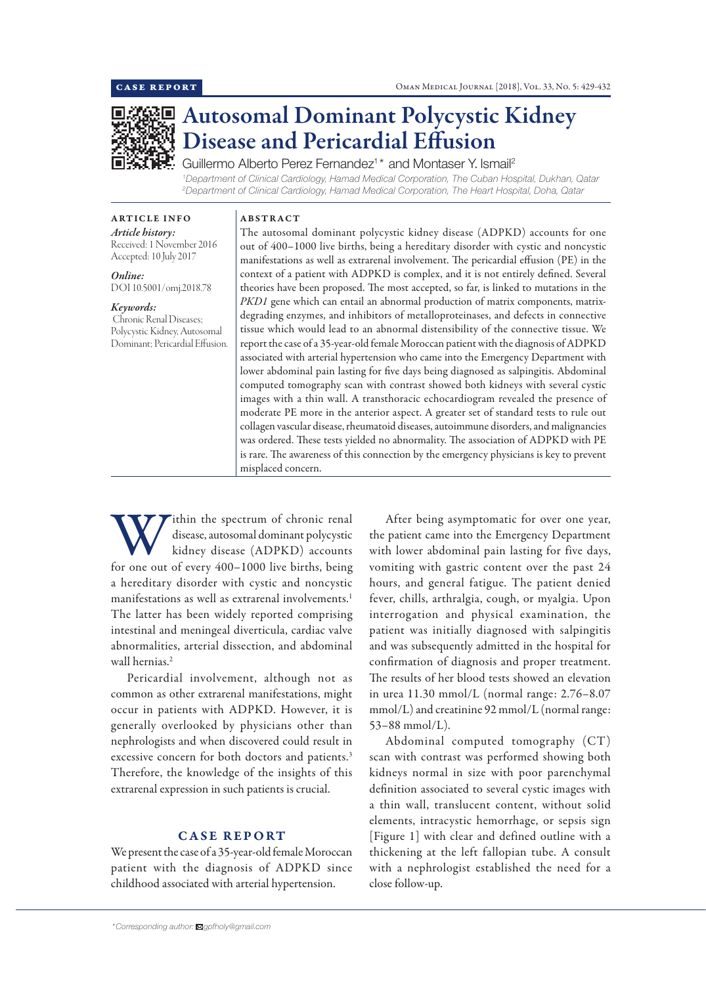

# Autosomal Dominant Polycystic Kidney Disease and Pericardial Effusion

Guillermo Alberto Perez Fernandez<sup>1\*</sup> and Montaser Y. Ismail<sup>2</sup>

*1 Department of Clinical Cardiology, Hamad Medical Corporation, The Cuban Hospital, Dukhan, Qatar 2 Department of Clinical Cardiology, Hamad Medical Corporation, The Heart Hospital, Doha, Qatar*

# ABSTRACT

*Article history:* Received: 1 November 2016 Accepted: 10 July 2017

ARTICLE INFO

*Online:* DOI 10.5001/omj.2018.78

#### *Keywords:*

 Chronic Renal Diseases; Polycystic Kidney, Autosomal Dominant; Pericardial Effusion. The autosomal dominant polycystic kidney disease (ADPKD) accounts for one out of 400–1000 live births, being a hereditary disorder with cystic and noncystic manifestations as well as extrarenal involvement. The pericardial effusion (PE) in the context of a patient with ADPKD is complex, and it is not entirely defined. Several theories have been proposed. The most accepted, so far, is linked to mutations in the *PKD1* gene which can entail an abnormal production of matrix components, matrixdegrading enzymes, and inhibitors of metalloproteinases, and defects in connective tissue which would lead to an abnormal distensibility of the connective tissue. We report the case of a 35-year-old female Moroccan patient with the diagnosis of ADPKD associated with arterial hypertension who came into the Emergency Department with lower abdominal pain lasting for five days being diagnosed as salpingitis. Abdominal computed tomography scan with contrast showed both kidneys with several cystic images with a thin wall. A transthoracic echocardiogram revealed the presence of moderate PE more in the anterior aspect. A greater set of standard tests to rule out collagen vascular disease, rheumatoid diseases, autoimmune disorders, and malignancies was ordered. These tests yielded no abnormality. The association of ADPKD with PE is rare. The awareness of this connection by the emergency physicians is key to prevent misplaced concern.

Within the spectrum of chronic renal<br>disease, autosomal dominant polycystic<br>for one out of every 400–1000 live births, being disease, autosomal dominant polycystic kidney disease (ADPKD) accounts a hereditary disorder with cystic and noncystic manifestations as well as extrarenal involvements.<sup>1</sup> The latter has been widely reported comprising intestinal and meningeal diverticula, cardiac valve abnormalities, arterial dissection, and abdominal wall hernias.<sup>2</sup>

Pericardial involvement, although not as common as other extrarenal manifestations, might occur in patients with ADPKD. However, it is generally overlooked by physicians other than nephrologists and when discovered could result in excessive concern for both doctors and patients.<sup>3</sup> Therefore, the knowledge of the insights of this extrarenal expression in such patients is crucial.

# CASE REPORT

We present the case of a 35-year-old female Moroccan patient with the diagnosis of ADPKD since childhood associated with arterial hypertension.

vomiting with gastric content over the past 24 hours, and general fatigue. The patient denied fever, chills, arthralgia, cough, or myalgia. Upon interrogation and physical examination, the patient was initially diagnosed with salpingitis and was subsequently admitted in the hospital for confirmation of diagnosis and proper treatment. The results of her blood tests showed an elevation in urea 11.30 mmol/L (normal range: 2.76–8.07 mmol/L) and creatinine 92 mmol/L (normal range: 53–88 mmol/L). Abdominal computed tomography (CT)

After being asymptomatic for over one year, the patient came into the Emergency Department with lower abdominal pain lasting for five days,

scan with contrast was performed showing both kidneys normal in size with poor parenchymal definition associated to several cystic images with a thin wall, translucent content, without solid elements, intracystic hemorrhage, or sepsis sign [Figure 1] with clear and defined outline with a thickening at the left fallopian tube. A consult with a nephrologist established the need for a close follow-up.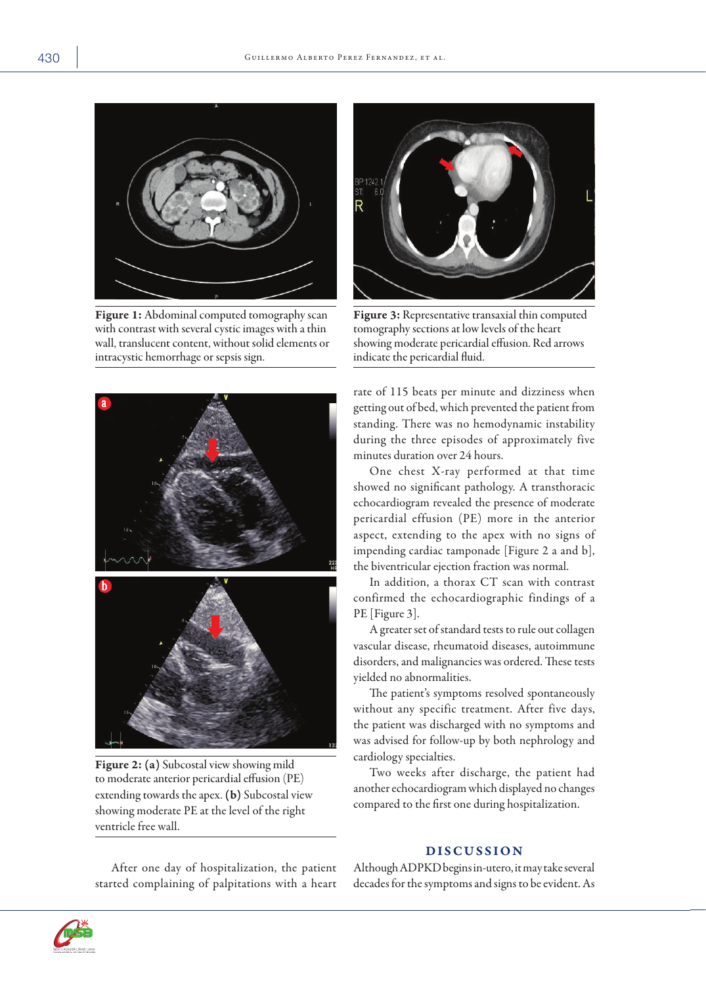

Figure 1: Abdominal computed tomography scan with contrast with several cystic images with a thin wall, translucent content, without solid elements or intracystic hemorrhage or sepsis sign.



Figure 2: (a) Subcostal view showing mild to moderate anterior pericardial effusion (PE) extending towards the apex. (b) Subcostal view showing moderate PE at the level of the right ventricle free wall.



Figure 3: Representative transaxial thin computed tomography sections at low levels of the heart showing moderate pericardial effusion. Red arrows indicate the pericardial fluid.

rate of 115 beats per minute and dizziness when getting out of bed, which prevented the patient from standing. There was no hemodynamic instability during the three episodes of approximately five minutes duration over 24 hours.

One chest X-ray performed at that time showed no significant pathology. A transthoracic echocardiogram revealed the presence of moderate pericardial effusion (PE) more in the anterior aspect, extending to the apex with no signs of impending cardiac tamponade [Figure 2 a and b], the biventricular ejection fraction was normal.

In addition, a thorax CT scan with contrast confirmed the echocardiographic findings of a PE [Figure 3].

A greater set of standard tests to rule out collagen vascular disease, rheumatoid diseases, autoimmune disorders, and malignancies was ordered. These tests yielded no abnormalities.

The patient's symptoms resolved spontaneously without any specific treatment. After five days, the patient was discharged with no symptoms and was advised for follow-up by both nephrology and cardiology specialties.

Two weeks after discharge, the patient had another echocardiogram which displayed no changes compared to the first one during hospitalization.

## DISCUSSION

After one day of hospitalization, the patient started complaining of palpitations with a heart

Although ADPKD begins in-utero, it may take several decades for the symptoms and signs to be evident. As

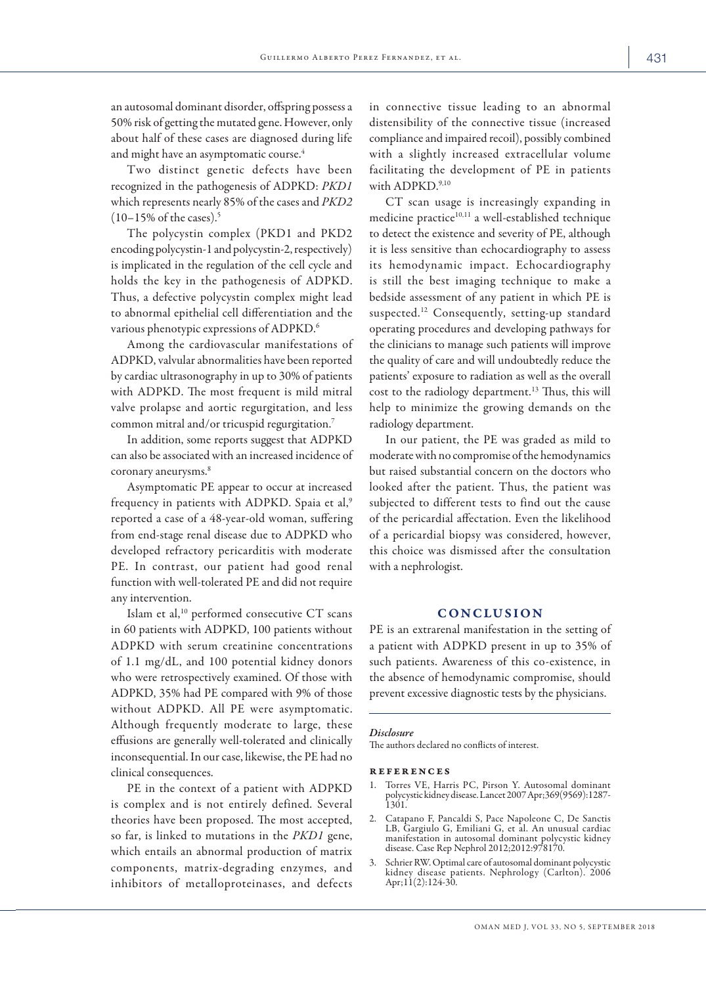Oman med J, vol 33, no 5, september 2018

an autosomal dominant disorder, offspring possess a 50% risk of getting the mutated gene. However, only about half of these cases are diagnosed during life and might have an asymptomatic course.<sup>4</sup>

Two distinct genetic defects have been recognized in the pathogenesis of ADPKD: *PKD1*  which represents nearly 85% of the cases and *PKD2*  $(10-15\% \text{ of the cases})$ .<sup>5</sup>

The polycystin complex (PKD1 and PKD2 encoding polycystin-1 and polycystin-2, respectively) is implicated in the regulation of the cell cycle and holds the key in the pathogenesis of ADPKD. Thus, a defective polycystin complex might lead to abnormal epithelial cell differentiation and the various phenotypic expressions of ADPKD.6

Among the cardiovascular manifestations of ADPKD, valvular abnormalities have been reported by cardiac ultrasonography in up to 30% of patients with ADPKD. The most frequent is mild mitral valve prolapse and aortic regurgitation, and less common mitral and/or tricuspid regurgitation.7

In addition, some reports suggest that ADPKD can also be associated with an increased incidence of coronary aneurysms.<sup>8</sup>

Asymptomatic PE appear to occur at increased frequency in patients with ADPKD. Spaia et al,<sup>9</sup> reported a case of a 48-year-old woman, suffering from end-stage renal disease due to ADPKD who developed refractory pericarditis with moderate PE. In contrast, our patient had good renal function with well-tolerated PE and did not require any intervention.

Islam et al,<sup>10</sup> performed consecutive CT scans in 60 patients with ADPKD, 100 patients without ADPKD with serum creatinine concentrations of 1.1 mg/dL, and 100 potential kidney donors who were retrospectively examined. Of those with ADPKD, 35% had PE compared with 9% of those without ADPKD. All PE were asymptomatic. Although frequently moderate to large, these effusions are generally well-tolerated and clinically inconsequential. In our case, likewise, the PE had no clinical consequences.

PE in the context of a patient with ADPKD is complex and is not entirely defined. Several theories have been proposed. The most accepted, so far, is linked to mutations in the *PKD1* gene, which entails an abnormal production of matrix components, matrix-degrading enzymes, and inhibitors of metalloproteinases, and defects in connective tissue leading to an abnormal distensibility of the connective tissue (increased compliance and impaired recoil), possibly combined with a slightly increased extracellular volume facilitating the development of PE in patients with ADPKD.<sup>9,10</sup>

CT scan usage is increasingly expanding in medicine practice<sup>10,11</sup> a well-established technique to detect the existence and severity of PE, although it is less sensitive than echocardiography to assess its hemodynamic impact. Echocardiography is still the best imaging technique to make a bedside assessment of any patient in which PE is suspected.12 Consequently, setting-up standard operating procedures and developing pathways for the clinicians to manage such patients will improve the quality of care and will undoubtedly reduce the patients' exposure to radiation as well as the overall cost to the radiology department.13 Thus, this will help to minimize the growing demands on the radiology department.

In our patient, the PE was graded as mild to moderate with no compromise of the hemodynamics but raised substantial concern on the doctors who looked after the patient. Thus, the patient was subjected to different tests to find out the cause of the pericardial affectation. Even the likelihood of a pericardial biopsy was considered, however, this choice was dismissed after the consultation with a nephrologist.

### CONCLUSION

PE is an extrarenal manifestation in the setting of a patient with ADPKD present in up to 35% of such patients. Awareness of this co-existence, in the absence of hemodynamic compromise, should prevent excessive diagnostic tests by the physicians.

#### *Disclosure*

The authors declared no conflicts of interest.

#### references

- 1. Torres VE, Harris PC, Pirson Y. Autosomal dominant polycystic kidney disease. Lancet 2007 Apr;369(9569):1287- 1301.
- 2. Catapano F, Pancaldi S, Pace Napoleone C, De Sanctis LB, Gargiulo G, Emiliani G, et al. An unusual cardiac manifestation in autosomal dominant polycystic kidney disease. Case Rep Nephrol 2012;2012:978170.
- 3. Schrier RW. Optimal care of autosomal dominant polycystic kidney disease patients. Nephrology (Carlton). 2006 Apr;11(2):124-30.